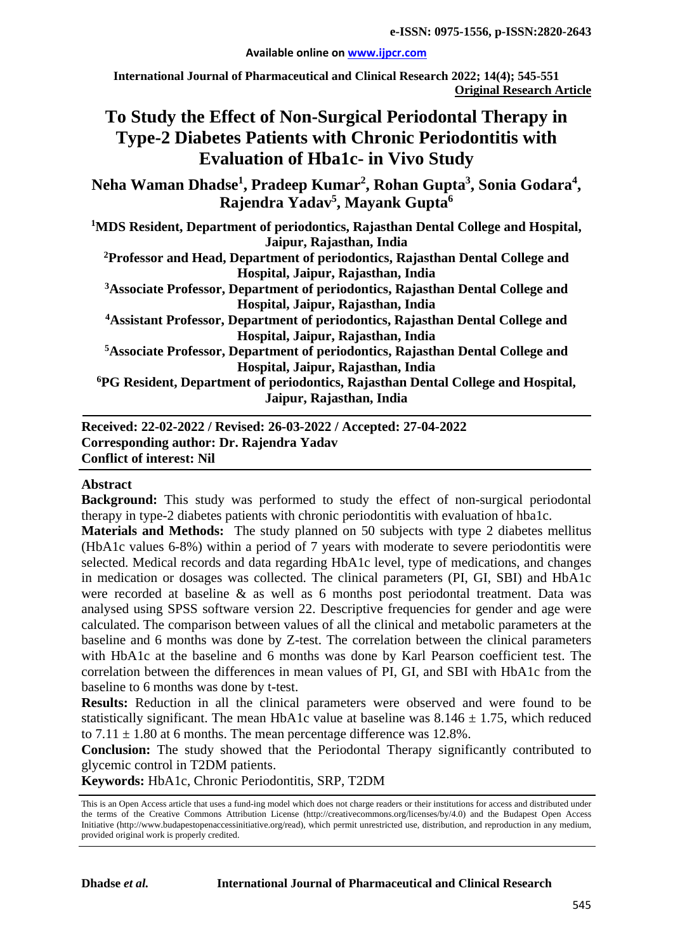#### **Available online on [www.ijpcr.com](http://www.ijpcr.com/)**

**International Journal of Pharmaceutical and Clinical Research 2022; 14(4); 545-551 Original Research Article**

# **To Study the Effect of Non-Surgical Periodontal Therapy in Type-2 Diabetes Patients with Chronic Periodontitis with Evaluation of Hba1c- in Vivo Study**

 $\mathbf{Neha}$  Waman  $\mathbf{Dhadse}^{1}, \mathbf{Pradeep }\ \mathbf{Kumar}^{2}, \mathbf{Rohan }\ \mathbf{Gupta}^{3}, \mathbf{Sonia }\ \mathbf{Godara}^{4},$ **Rajendra Yadav5 , Mayank Gupta6**

**1 MDS Resident, Department of periodontics, Rajasthan Dental College and Hospital, Jaipur, Rajasthan, India**

**2 Professor and Head, Department of periodontics, Rajasthan Dental College and Hospital, Jaipur, Rajasthan, India**

**3Associate Professor, Department of periodontics, Rajasthan Dental College and Hospital, Jaipur, Rajasthan, India** 

**4 Assistant Professor, Department of periodontics, Rajasthan Dental College and Hospital, Jaipur, Rajasthan, India** 

**5Associate Professor, Department of periodontics, Rajasthan Dental College and Hospital, Jaipur, Rajasthan, India**

**6 PG Resident, Department of periodontics, Rajasthan Dental College and Hospital, Jaipur, Rajasthan, India**

**Received: 22-02-2022 / Revised: 26-03-2022 / Accepted: 27-04-2022 Corresponding author: Dr. Rajendra Yadav Conflict of interest: Nil**

#### **Abstract**

**Background:** This study was performed to study the effect of non-surgical periodontal therapy in type-2 diabetes patients with chronic periodontitis with evaluation of hba1c.

**Materials and Methods:** The study planned on 50 subjects with type 2 diabetes mellitus (HbA1c values 6-8%) within a period of 7 years with moderate to severe periodontitis were selected. Medical records and data regarding HbA1c level, type of medications, and changes in medication or dosages was collected. The clinical parameters (PI, GI, SBI) and HbA1c were recorded at baseline & as well as 6 months post periodontal treatment. Data was analysed using SPSS software version 22. Descriptive frequencies for gender and age were calculated. The comparison between values of all the clinical and metabolic parameters at the baseline and 6 months was done by Z-test. The correlation between the clinical parameters with HbA1c at the baseline and 6 months was done by Karl Pearson coefficient test. The correlation between the differences in mean values of PI, GI, and SBI with HbA1c from the baseline to 6 months was done by t-test.

**Results:** Reduction in all the clinical parameters were observed and were found to be statistically significant. The mean HbA1c value at baseline was  $8.146 \pm 1.75$ , which reduced to  $7.11 \pm 1.80$  at 6 months. The mean percentage difference was 12.8%.

**Conclusion:** The study showed that the Periodontal Therapy significantly contributed to glycemic control in T2DM patients.

**Keywords:** HbA1c, Chronic Periodontitis, SRP, T2DM

This is an Open Access article that uses a fund-ing model which does not charge readers or their institutions for access and distributed under the terms of the Creative Commons Attribution License (http://creativecommons.org/licenses/by/4.0) and the Budapest Open Access Initiative (http://www.budapestopenaccessinitiative.org/read), which permit unrestricted use, distribution, and reproduction in any medium, provided original work is properly credited.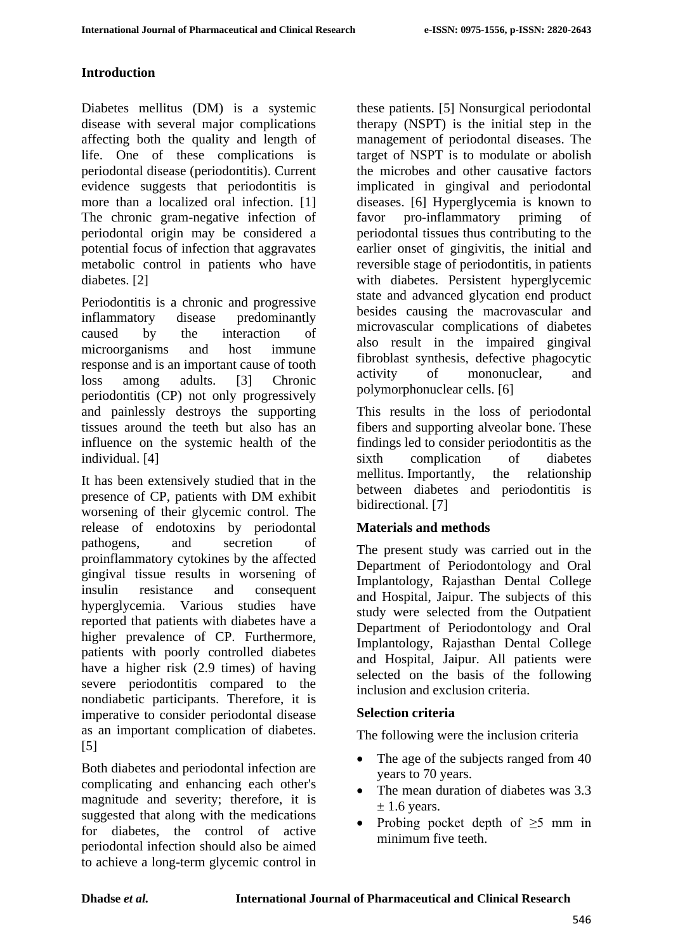#### **Introduction**

Diabetes mellitus (DM) is a systemic disease with several major complications affecting both the quality and length of life. One of these complications is periodontal disease (periodontitis). Current evidence suggests that periodontitis is more than a localized oral infection. [1] The chronic gram-negative infection of periodontal origin may be considered a potential focus of infection that aggravates metabolic control in patients who have diabetes. [2]

Periodontitis is a chronic and progressive inflammatory disease predominantly caused by the interaction of microorganisms and host immune response and is an important cause of tooth loss among adults. [3] Chronic periodontitis (CP) not only progressively and painlessly destroys the supporting tissues around the teeth but also has an influence on the systemic health of the individual. [4]

It has been extensively studied that in the presence of CP, patients with DM exhibit worsening of their glycemic control. The release of endotoxins by periodontal pathogens, and secretion of proinflammatory cytokines by the affected gingival tissue results in worsening of insulin resistance and consequent hyperglycemia. Various studies have reported that patients with diabetes have a higher prevalence of CP. Furthermore, patients with poorly controlled diabetes have a higher risk (2.9 times) of having severe periodontitis compared to the nondiabetic participants. Therefore, it is imperative to consider periodontal disease as an important complication of diabetes. [5]

Both diabetes and periodontal infection are complicating and enhancing each other's magnitude and severity; therefore, it is suggested that along with the medications for diabetes, the control of active periodontal infection should also be aimed to achieve a long-term glycemic control in these patients. [5] Nonsurgical periodontal therapy (NSPT) is the initial step in the management of periodontal diseases. The target of NSPT is to modulate or abolish the microbes and other causative factors implicated in gingival and periodontal diseases. [6] Hyperglycemia is known to favor pro-inflammatory priming of periodontal tissues thus contributing to the earlier onset of gingivitis, the initial and reversible stage of periodontitis, in patients with diabetes. Persistent hyperglycemic state and advanced glycation end product besides causing the macrovascular and microvascular complications of diabetes also result in the impaired gingival fibroblast synthesis, defective phagocytic activity of mononuclear, and polymorphonuclear cells. [6]

This results in the loss of periodontal fibers and supporting alveolar bone. These findings led to consider periodontitis as the sixth complication of diabetes mellitus. Importantly, the relationship between diabetes and periodontitis is bidirectional. [7]

#### **Materials and methods**

The present study was carried out in the Department of Periodontology and Oral Implantology, Rajasthan Dental College and Hospital, Jaipur. The subjects of this study were selected from the Outpatient Department of Periodontology and Oral Implantology, Rajasthan Dental College and Hospital, Jaipur. All patients were selected on the basis of the following inclusion and exclusion criteria.

## **Selection criteria**

The following were the inclusion criteria

- The age of the subjects ranged from 40 years to 70 years.
- The mean duration of diabetes was 3.3  $\pm$  1.6 years.
- Probing pocket depth of  $\geq 5$  mm in minimum five teeth.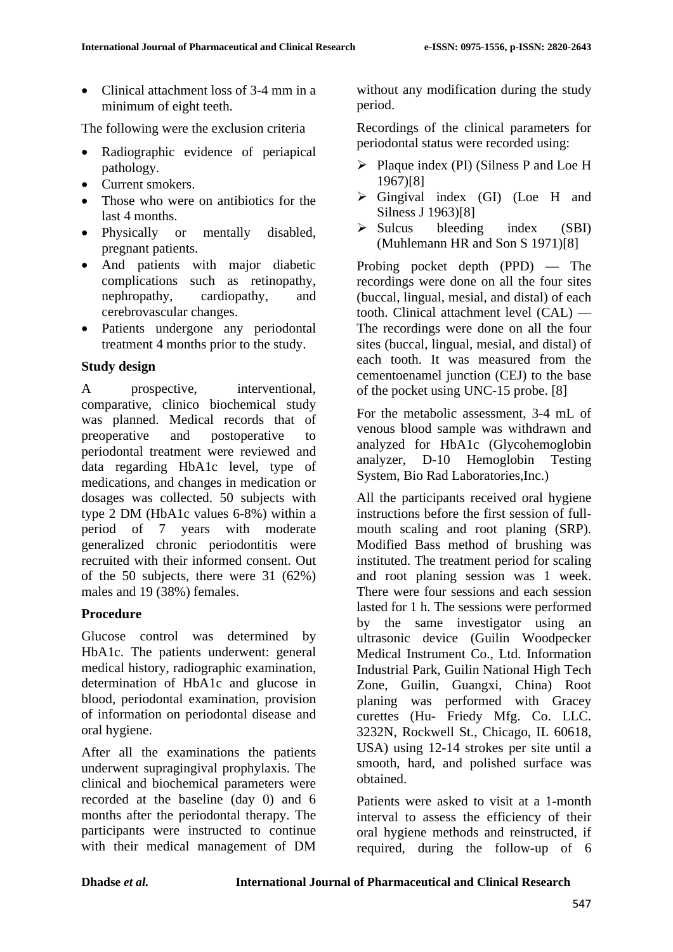• Clinical attachment loss of 3-4 mm in a minimum of eight teeth.

The following were the exclusion criteria

- Radiographic evidence of periapical pathology.
- Current smokers.
- Those who were on antibiotics for the last 4 months.
- Physically or mentally disabled, pregnant patients.
- And patients with major diabetic complications such as retinopathy, nephropathy, cardiopathy, and cerebrovascular changes.
- Patients undergone any periodontal treatment 4 months prior to the study.

#### **Study design**

A prospective, interventional, comparative, clinico biochemical study was planned. Medical records that of preoperative and postoperative to periodontal treatment were reviewed and data regarding HbA1c level, type of medications, and changes in medication or dosages was collected. 50 subjects with type 2 DM (HbA1c values 6-8%) within a period of 7 years with moderate generalized chronic periodontitis were recruited with their informed consent. Out of the 50 subjects, there were 31 (62%) males and 19 (38%) females.

## **Procedure**

Glucose control was determined by HbA1c. The patients underwent: general medical history, radiographic examination, determination of HbA1c and glucose in blood, periodontal examination, provision of information on periodontal disease and oral hygiene.

After all the examinations the patients underwent supragingival prophylaxis. The clinical and biochemical parameters were recorded at the baseline (day 0) and 6 months after the periodontal therapy. The participants were instructed to continue with their medical management of DM without any modification during the study period.

Recordings of the clinical parameters for periodontal status were recorded using:

- $\triangleright$  Plaque index (PI) (Silness P and Loe H 1967)[8]
- $\triangleright$  Gingival index (GI) (Loe H and Silness J 1963)[8]
- $\triangleright$  Sulcus bleeding index (SBI) (Muhlemann HR and Son S 1971)[8]

Probing pocket depth (PPD) — The recordings were done on all the four sites (buccal, lingual, mesial, and distal) of each tooth. Clinical attachment level (CAL) — The recordings were done on all the four sites (buccal, lingual, mesial, and distal) of each tooth. It was measured from the cementoenamel junction (CEJ) to the base of the pocket using UNC-15 probe. [8]

For the metabolic assessment, 3-4 mL of venous blood sample was withdrawn and analyzed for HbA1c (Glycohemoglobin analyzer, D-10 Hemoglobin Testing System, Bio Rad Laboratories,Inc.)

All the participants received oral hygiene instructions before the first session of fullmouth scaling and root planing (SRP). Modified Bass method of brushing was instituted. The treatment period for scaling and root planing session was 1 week. There were four sessions and each session lasted for 1 h. The sessions were performed by the same investigator using an ultrasonic device (Guilin Woodpecker Medical Instrument Co., Ltd. Information Industrial Park, Guilin National High Tech Zone, Guilin, Guangxi, China) Root planing was performed with Gracey curettes (Hu- Friedy Mfg. Co. LLC. 3232N, Rockwell St., Chicago, IL 60618, USA) using 12-14 strokes per site until a smooth, hard, and polished surface was obtained.

Patients were asked to visit at a 1-month interval to assess the efficiency of their oral hygiene methods and reinstructed, if required, during the follow-up of 6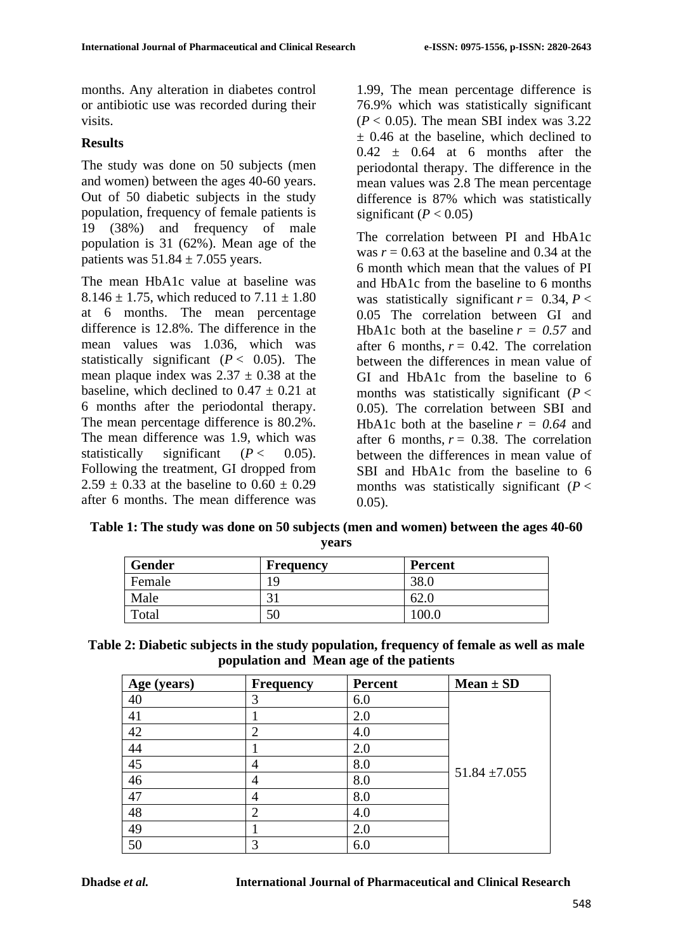months. Any alteration in diabetes control or antibiotic use was recorded during their visits.

#### **Results**

The study was done on 50 subjects (men and women) between the ages 40-60 years. Out of 50 diabetic subjects in the study population, frequency of female patients is 19 (38%) and frequency of male population is 31 (62%). Mean age of the patients was  $51.84 \pm 7.055$  years.

The mean HbA1c value at baseline was 8.146  $\pm$  1.75, which reduced to 7.11  $\pm$  1.80 at 6 months. The mean percentage difference is 12.8%. The difference in the mean values was 1.036, which was statistically significant  $(P < 0.05)$ . The mean plaque index was  $2.37 \pm 0.38$  at the baseline, which declined to  $0.47 \pm 0.21$  at 6 months after the periodontal therapy. The mean percentage difference is 80.2%. The mean difference was 1.9, which was statistically significant  $(P < 0.05)$ . Following the treatment, GI dropped from 2.59  $\pm$  0.33 at the baseline to 0.60  $\pm$  0.29 after 6 months. The mean difference was

1.99, The mean percentage difference is 76.9% which was statistically significant  $(P < 0.05)$ . The mean SBI index was 3.22  $\pm$  0.46 at the baseline, which declined to  $0.42 \pm 0.64$  at 6 months after the periodontal therapy. The difference in the mean values was 2.8 The mean percentage difference is 87% which was statistically significant  $(P < 0.05)$ 

The correlation between PI and HbA1c was  $r = 0.63$  at the baseline and 0.34 at the 6 month which mean that the values of PI and HbA1c from the baseline to 6 months was statistically significant  $r = 0.34$ ,  $P <$ 0.05 The correlation between GI and HbA1c both at the baseline  $r = 0.57$  and after 6 months,  $r = 0.42$ . The correlation between the differences in mean value of GI and HbA1c from the baseline to 6 months was statistically significant  $(P <$ 0.05). The correlation between SBI and HbA1c both at the baseline  $r = 0.64$  and after 6 months,  $r = 0.38$ . The correlation between the differences in mean value of SBI and HbA1c from the baseline to 6 months was statistically significant (*P* < 0.05).

**Table 1: The study was done on 50 subjects (men and women) between the ages 40-60 years**

| <b>Gender</b> | <b>Frequency</b> | <b>Percent</b> |
|---------------|------------------|----------------|
| Female        | 9                | 38.0           |
| Male          |                  | 02.U           |
| Total         | 50               | 100.0          |

| Table 2: Diabetic subjects in the study population, frequency of female as well as male |  |
|-----------------------------------------------------------------------------------------|--|
| population and Mean age of the patients                                                 |  |

| Age (years) | <b>Frequency</b> | <b>Percent</b> | $Mean \pm SD$     |
|-------------|------------------|----------------|-------------------|
| 40          | 3                | 6.0            |                   |
| 41          |                  | 2.0            |                   |
| 42          | $\overline{2}$   | 4.0            |                   |
| 44          |                  | 2.0            |                   |
| 45          | 4                | 8.0            | $51.84 \pm 7.055$ |
| 46          | 4                | 8.0            |                   |
| 47          | 4                | 8.0            |                   |
| 48          | ി                | 4.0            |                   |
| 49          |                  | 2.0            |                   |
| 50          | 3                | 6.0            |                   |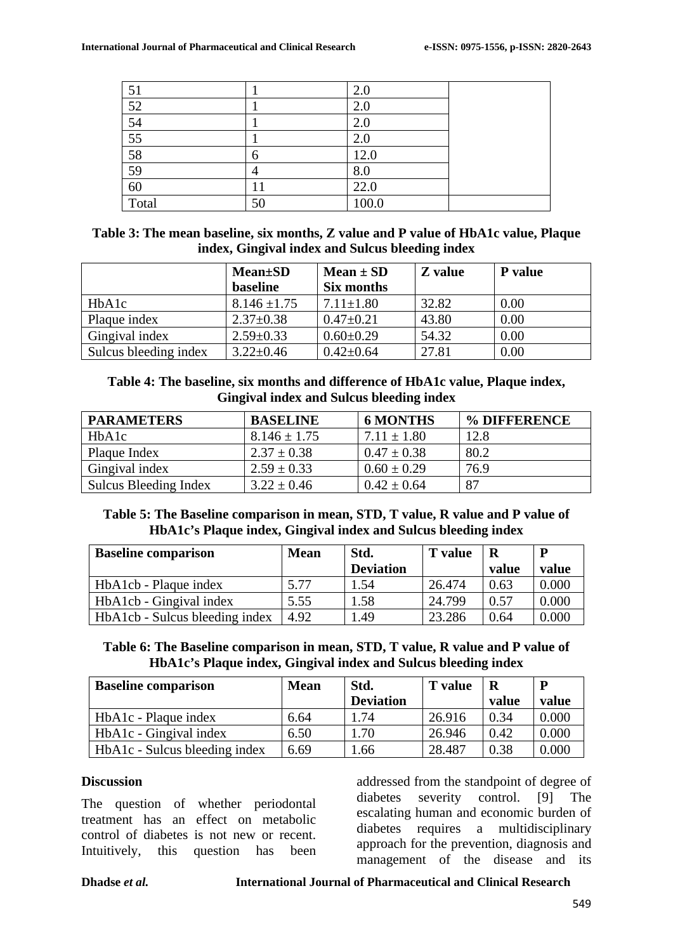| 51              |    | 2.0   |  |
|-----------------|----|-------|--|
| 52              |    | 2.0   |  |
| $\overline{54}$ |    | 2.0   |  |
| $\overline{55}$ |    | 2.0   |  |
| 58              |    | 12.0  |  |
| $\overline{59}$ |    | 8.0   |  |
| 60              | 11 | 22.0  |  |
| Total           | 50 | 100.0 |  |

| Table 3: The mean baseline, six months, Z value and P value of HbA1c value, Plaque |
|------------------------------------------------------------------------------------|
| index, Gingival index and Sulcus bleeding index                                    |

|                       | <b>Mean</b> ±SD<br>baseline | Mean $\pm$ SD<br>Six months | Z value | <b>P</b> value |
|-----------------------|-----------------------------|-----------------------------|---------|----------------|
| HbA1c                 | $8.146 \pm 1.75$            | $7.11 \pm 1.80$             | 32.82   | 0.00           |
| Plaque index          | $2.37 \pm 0.38$             | $0.47 \pm 0.21$             | 43.80   | 0.00           |
| Gingival index        | $2.59 \pm 0.33$             | $0.60 \pm 0.29$             | 54.32   | 0.00           |
| Sulcus bleeding index | $3.22 \pm 0.46$             | $0.42 \pm 0.64$             | 27.81   | 0.00           |

#### **Table 4: The baseline, six months and difference of HbA1c value, Plaque index, Gingival index and Sulcus bleeding index**

| <b>PARAMETERS</b>     | <b>BASELINE</b>  | <b>6 MONTHS</b> | % DIFFERENCE |
|-----------------------|------------------|-----------------|--------------|
| HbA <sub>1</sub> c    | $8.146 \pm 1.75$ | $7.11 \pm 1.80$ | 12.8         |
| Plaque Index          | $2.37 \pm 0.38$  | $0.47 \pm 0.38$ | 80.2         |
| Gingival index        | $2.59 \pm 0.33$  | $0.60 \pm 0.29$ | 76.9         |
| Sulcus Bleeding Index | $3.22 \pm 0.46$  | $0.42 \pm 0.64$ | 87           |

## **Table 5: The Baseline comparison in mean, STD, T value, R value and P value of HbA1c's Plaque index, Gingival index and Sulcus bleeding index**

| <b>Baseline comparison</b>            | <b>Mean</b> | Std.             | <b>T</b> value | R     | P     |
|---------------------------------------|-------------|------------------|----------------|-------|-------|
|                                       |             | <b>Deviation</b> |                | value | value |
| HbA1cb - Plaque index                 | 5.77        | 1.54             | 26.474         | 0.63  | 0.000 |
| HbA1cb - Gingival index               | 5.55        | 1.58             | 24.799         | 0.57  | 0.000 |
| <b>HbA1cb</b> - Sulcus bleeding index | 4.92        | .49              | 23.286         | 0.64  | 0.000 |

#### **Table 6: The Baseline comparison in mean, STD, T value, R value and P value of HbA1c's Plaque index, Gingival index and Sulcus bleeding index**

| <b>Baseline comparison</b>    | <b>Mean</b> | Std.             | <b>T</b> value | R     | P     |
|-------------------------------|-------------|------------------|----------------|-------|-------|
|                               |             | <b>Deviation</b> |                | value | value |
| HbA1c - Plaque index          | 6.64        | 1.74             | 26.916         | 0.34  | 0.000 |
| HbA1c - Gingival index        | 6.50        | 1.70             | 26.946         | 0.42  | 0.000 |
| HbA1c - Sulcus bleeding index | 6.69        | l.66             | 28.487         | 0.38  | 0.000 |

#### **Discussion**

The question of whether periodontal treatment has an effect on metabolic control of diabetes is not new or recent. Intuitively, this question has been addressed from the standpoint of degree of diabetes severity control. [9] The escalating human and economic burden of diabetes requires a multidisciplinary approach for the prevention, diagnosis and management of the disease and its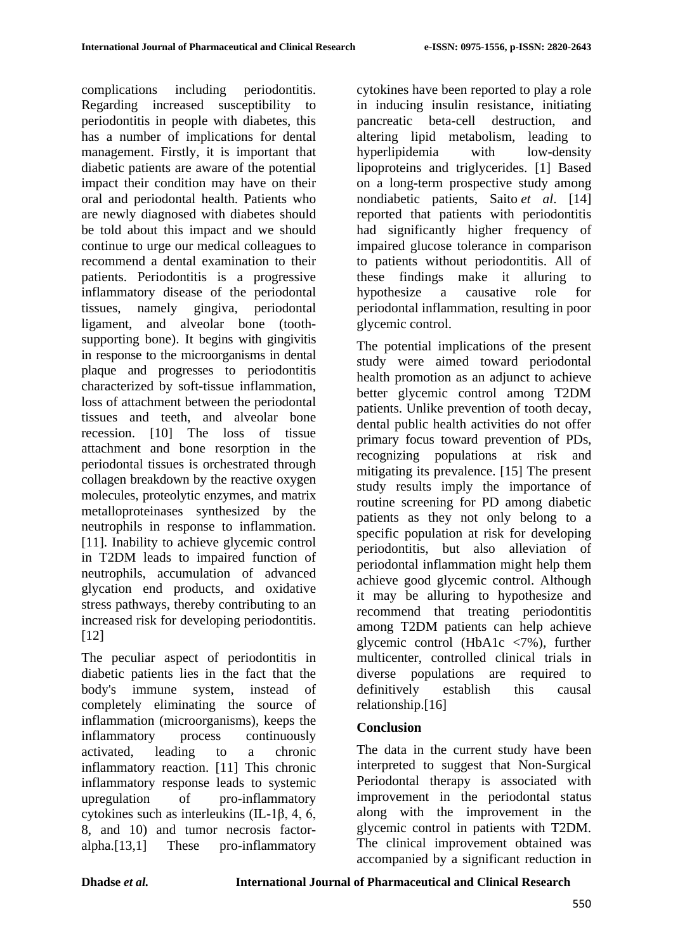complications including periodontitis. Regarding increased susceptibility to periodontitis in people with diabetes, this has a number of implications for dental management. Firstly, it is important that diabetic patients are aware of the potential impact their condition may have on their oral and periodontal health. Patients who are newly diagnosed with diabetes should be told about this impact and we should continue to urge our medical colleagues to recommend a dental examination to their patients. Periodontitis is a progressive inflammatory disease of the periodontal tissues, namely gingiva, periodontal ligament, and alveolar bone (toothsupporting bone). It begins with gingivitis in response to the microorganisms in dental plaque and progresses to periodontitis characterized by soft-tissue inflammation, loss of attachment between the periodontal tissues and teeth, and alveolar bone recession. [10] The loss of tissue attachment and bone resorption in the periodontal tissues is orchestrated through collagen breakdown by the reactive oxygen molecules, proteolytic enzymes, and matrix metalloproteinases synthesized by the neutrophils in response to inflammation. [11]. Inability to achieve glycemic control in T2DM leads to impaired function of neutrophils, accumulation of advanced glycation end products, and oxidative stress pathways, thereby contributing to an increased risk for developing periodontitis. [12]

The peculiar aspect of periodontitis in diabetic patients lies in the fact that the body's immune system, instead of completely eliminating the source of inflammation (microorganisms), keeps the inflammatory process continuously activated, leading to a chronic inflammatory reaction. [11] This chronic inflammatory response leads to systemic upregulation of pro-inflammatory cytokines such as interleukins (IL-1β, 4, 6, 8, and 10) and tumor necrosis factoralpha.[13,1] These pro-inflammatory

cytokines have been reported to play a role in inducing insulin resistance, initiating pancreatic beta-cell destruction, and altering lipid metabolism, leading to hyperlipidemia with low-density lipoproteins and triglycerides. [1] Based on a long-term prospective study among nondiabetic patients, Saito *et al*. [14] reported that patients with periodontitis had significantly higher frequency of impaired glucose tolerance in comparison to patients without periodontitis. All of these findings make it alluring to hypothesize a causative role for periodontal inflammation, resulting in poor glycemic control.

The potential implications of the present study were aimed toward periodontal health promotion as an adjunct to achieve better glycemic control among T2DM patients. Unlike prevention of tooth decay, dental public health activities do not offer primary focus toward prevention of PDs, recognizing populations at risk and mitigating its prevalence. [15] The present study results imply the importance of routine screening for PD among diabetic patients as they not only belong to a specific population at risk for developing periodontitis, but also alleviation of periodontal inflammation might help them achieve good glycemic control. Although it may be alluring to hypothesize and recommend that treating periodontitis among T2DM patients can help achieve glycemic control (HbA1c <7%), further multicenter, controlled clinical trials in diverse populations are required to definitively establish this causal relationship.[16]

## **Conclusion**

The data in the current study have been interpreted to suggest that Non-Surgical Periodontal therapy is associated with improvement in the periodontal status along with the improvement in the glycemic control in patients with T2DM. The clinical improvement obtained was accompanied by a significant reduction in